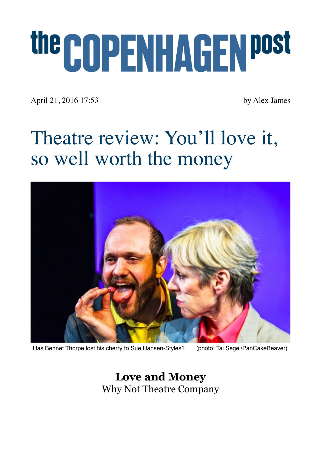# the COPENHAGEN post

April 21, 2016 17:53 by Alex James

## Theatre review: You'll love it, so well worth the money



Has Bennet Thorpe lost his cherry to Sue Hansen-Styles? (photo: Tai Segel/PanCakeBeaver)

**Love and Money**  Why Not Theatre Company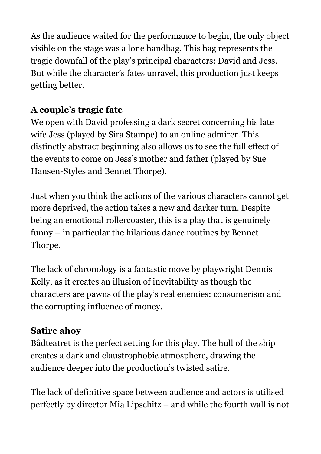As the audience waited for the performance to begin, the only object visible on the stage was a lone handbag. This bag represents the tragic downfall of the play's principal characters: David and Jess. But while the character's fates unravel, this production just keeps getting better.

#### **A couple's tragic fate**

We open with David professing a dark secret concerning his late wife Jess (played by Sira Stampe) to an online admirer. This distinctly abstract beginning also allows us to see the full effect of the events to come on Jess's mother and father (played by Sue Hansen-Styles and Bennet Thorpe).

Just when you think the actions of the various characters cannot get more deprived, the action takes a new and darker turn. Despite being an emotional rollercoaster, this is a play that is genuinely funny – in particular the hilarious dance routines by Bennet Thorpe.

The lack of chronology is a fantastic move by playwright Dennis Kelly, as it creates an illusion of inevitability as though the characters are pawns of the play's real enemies: consumerism and the corrupting influence of money.

### **Satire ahoy**

Bådteatret is the perfect setting for this play. The hull of the ship creates a dark and claustrophobic atmosphere, drawing the audience deeper into the production's twisted satire.

The lack of definitive space between audience and actors is utilised perfectly by director Mia Lipschitz – and while the fourth wall is not